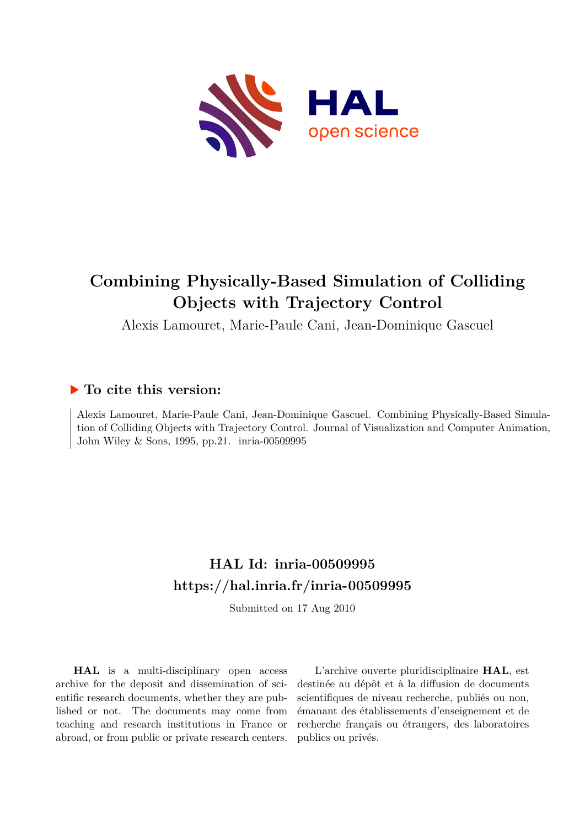

# **Combining Physically-Based Simulation of Colliding Objects with Trajectory Control**

Alexis Lamouret, Marie-Paule Cani, Jean-Dominique Gascuel

# **To cite this version:**

Alexis Lamouret, Marie-Paule Cani, Jean-Dominique Gascuel. Combining Physically-Based Simulation of Colliding Objects with Trajectory Control. Journal of Visualization and Computer Animation, John Wiley & Sons, 1995, pp.21. inria-00509995

# **HAL Id: inria-00509995 <https://hal.inria.fr/inria-00509995>**

Submitted on 17 Aug 2010

**HAL** is a multi-disciplinary open access archive for the deposit and dissemination of scientific research documents, whether they are published or not. The documents may come from teaching and research institutions in France or abroad, or from public or private research centers.

L'archive ouverte pluridisciplinaire **HAL**, est destinée au dépôt et à la diffusion de documents scientifiques de niveau recherche, publiés ou non, émanant des établissements d'enseignement et de recherche français ou étrangers, des laboratoires publics ou privés.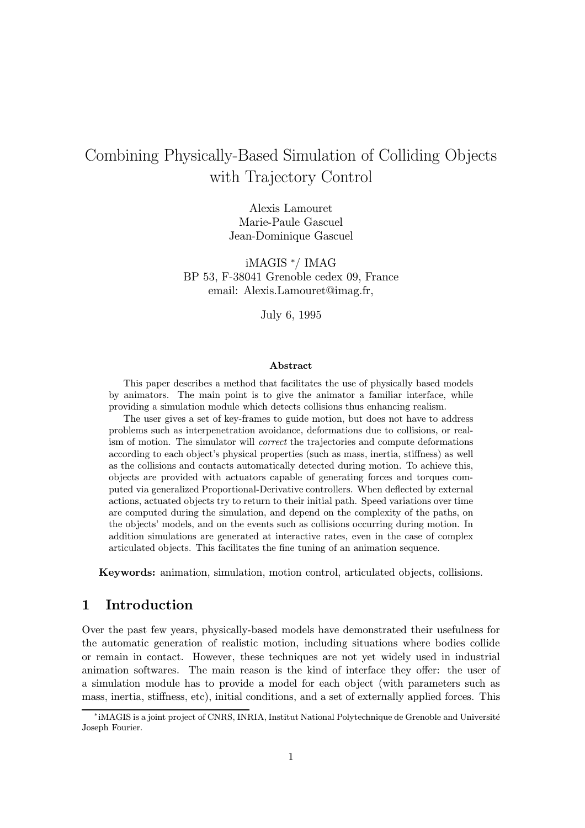# Combining Physically-Based Simulation of Colliding Objects with Trajectory Control

Alexis Lamouret Marie-Paule Gascuel Jean-Dominique Gascuel

iMAGIS <sup>∗</sup>/ IMAG BP 53, F-38041 Grenoble cedex 09, France email: Alexis.Lamouret@imag.fr,

July 6, 1995

#### Abstract

This paper describes a method that facilitates the use of physically based models by animators. The main point is to give the animator a familiar interface, while providing a simulation module which detects collisions thus enhancing realism.

The user gives a set of key-frames to guide motion, but does not have to address problems such as interpenetration avoidance, deformations due to collisions, or realism of motion. The simulator will correct the trajectories and compute deformations according to each object's physical properties (such as mass, inertia, stiffness) as well as the collisions and contacts automatically detected during motion. To achieve this, objects are provided with actuators capable of generating forces and torques computed via generalized Proportional-Derivative controllers. When deflected by external actions, actuated objects try to return to their initial path. Speed variations over time are computed during the simulation, and depend on the complexity of the paths, on the objects' models, and on the events such as collisions occurring during motion. In addition simulations are generated at interactive rates, even in the case of complex articulated objects. This facilitates the fine tuning of an animation sequence.

Keywords: animation, simulation, motion control, articulated objects, collisions.

### 1 Introduction

Over the past few years, physically-based models have demonstrated their usefulness for the automatic generation of realistic motion, including situations where bodies collide or remain in contact. However, these techniques are not yet widely used in industrial animation softwares. The main reason is the kind of interface they offer: the user of a simulation module has to provide a model for each object (with parameters such as mass, inertia, stiffness, etc), initial conditions, and a set of externally applied forces. This

<sup>\*</sup>iMAGIS is a joint project of CNRS, INRIA, Institut National Polytechnique de Grenoble and Université Joseph Fourier.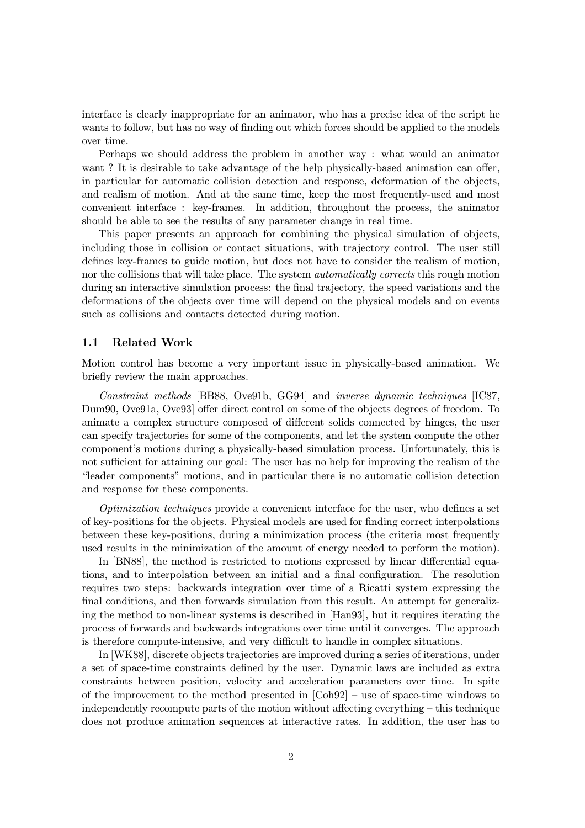interface is clearly inappropriate for an animator, who has a precise idea of the script he wants to follow, but has no way of finding out which forces should be applied to the models over time.

Perhaps we should address the problem in another way : what would an animator want ? It is desirable to take advantage of the help physically-based animation can offer, in particular for automatic collision detection and response, deformation of the objects, and realism of motion. And at the same time, keep the most frequently-used and most convenient interface : key-frames. In addition, throughout the process, the animator should be able to see the results of any parameter change in real time.

This paper presents an approach for combining the physical simulation of objects, including those in collision or contact situations, with trajectory control. The user still defines key-frames to guide motion, but does not have to consider the realism of motion, nor the collisions that will take place. The system *automatically corrects* this rough motion during an interactive simulation process: the final trajectory, the speed variations and the deformations of the objects over time will depend on the physical models and on events such as collisions and contacts detected during motion.

#### 1.1 Related Work

Motion control has become a very important issue in physically-based animation. We briefly review the main approaches.

Constraint methods [BB88, Ove91b, GG94] and inverse dynamic techniques [IC87, Dum90, Ove91a, Ove93] offer direct control on some of the objects degrees of freedom. To animate a complex structure composed of different solids connected by hinges, the user can specify trajectories for some of the components, and let the system compute the other component's motions during a physically-based simulation process. Unfortunately, this is not sufficient for attaining our goal: The user has no help for improving the realism of the "leader components" motions, and in particular there is no automatic collision detection and response for these components.

Optimization techniques provide a convenient interface for the user, who defines a set of key-positions for the objects. Physical models are used for finding correct interpolations between these key-positions, during a minimization process (the criteria most frequently used results in the minimization of the amount of energy needed to perform the motion).

In [BN88], the method is restricted to motions expressed by linear differential equations, and to interpolation between an initial and a final configuration. The resolution requires two steps: backwards integration over time of a Ricatti system expressing the final conditions, and then forwards simulation from this result. An attempt for generalizing the method to non-linear systems is described in [Han93], but it requires iterating the process of forwards and backwards integrations over time until it converges. The approach is therefore compute-intensive, and very difficult to handle in complex situations.

In [WK88], discrete objects trajectories are improved during a series of iterations, under a set of space-time constraints defined by the user. Dynamic laws are included as extra constraints between position, velocity and acceleration parameters over time. In spite of the improvement to the method presented in [Coh92] – use of space-time windows to independently recompute parts of the motion without affecting everything – this technique does not produce animation sequences at interactive rates. In addition, the user has to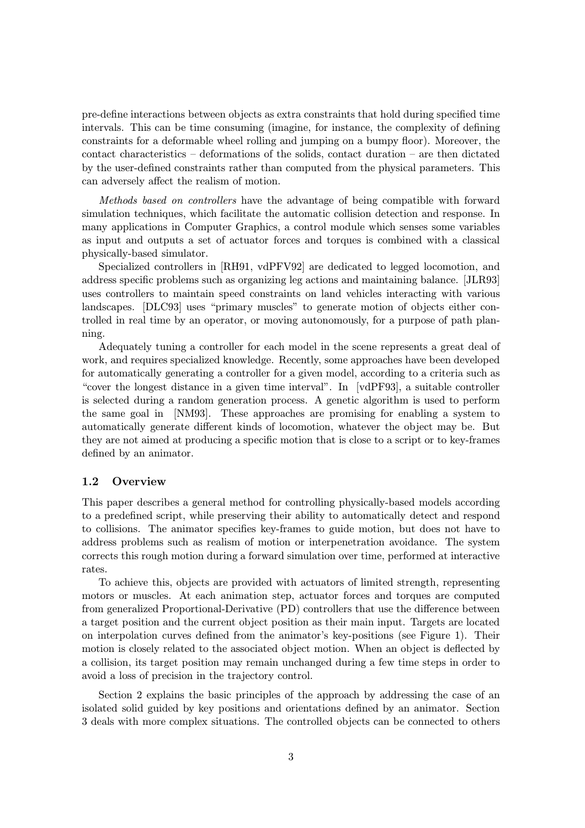pre-define interactions between objects as extra constraints that hold during specified time intervals. This can be time consuming (imagine, for instance, the complexity of defining constraints for a deformable wheel rolling and jumping on a bumpy floor). Moreover, the contact characteristics – deformations of the solids, contact duration – are then dictated by the user-defined constraints rather than computed from the physical parameters. This can adversely affect the realism of motion.

Methods based on controllers have the advantage of being compatible with forward simulation techniques, which facilitate the automatic collision detection and response. In many applications in Computer Graphics, a control module which senses some variables as input and outputs a set of actuator forces and torques is combined with a classical physically-based simulator.

Specialized controllers in [RH91, vdPFV92] are dedicated to legged locomotion, and address specific problems such as organizing leg actions and maintaining balance. [JLR93] uses controllers to maintain speed constraints on land vehicles interacting with various landscapes. [DLC93] uses "primary muscles" to generate motion of objects either controlled in real time by an operator, or moving autonomously, for a purpose of path planning.

Adequately tuning a controller for each model in the scene represents a great deal of work, and requires specialized knowledge. Recently, some approaches have been developed for automatically generating a controller for a given model, according to a criteria such as "cover the longest distance in a given time interval". In [vdPF93], a suitable controller is selected during a random generation process. A genetic algorithm is used to perform the same goal in [NM93]. These approaches are promising for enabling a system to automatically generate different kinds of locomotion, whatever the object may be. But they are not aimed at producing a specific motion that is close to a script or to key-frames defined by an animator.

#### 1.2 Overview

This paper describes a general method for controlling physically-based models according to a predefined script, while preserving their ability to automatically detect and respond to collisions. The animator specifies key-frames to guide motion, but does not have to address problems such as realism of motion or interpenetration avoidance. The system corrects this rough motion during a forward simulation over time, performed at interactive rates.

To achieve this, objects are provided with actuators of limited strength, representing motors or muscles. At each animation step, actuator forces and torques are computed from generalized Proportional-Derivative (PD) controllers that use the difference between a target position and the current object position as their main input. Targets are located on interpolation curves defined from the animator's key-positions (see Figure 1). Their motion is closely related to the associated object motion. When an object is deflected by a collision, its target position may remain unchanged during a few time steps in order to avoid a loss of precision in the trajectory control.

Section 2 explains the basic principles of the approach by addressing the case of an isolated solid guided by key positions and orientations defined by an animator. Section 3 deals with more complex situations. The controlled objects can be connected to others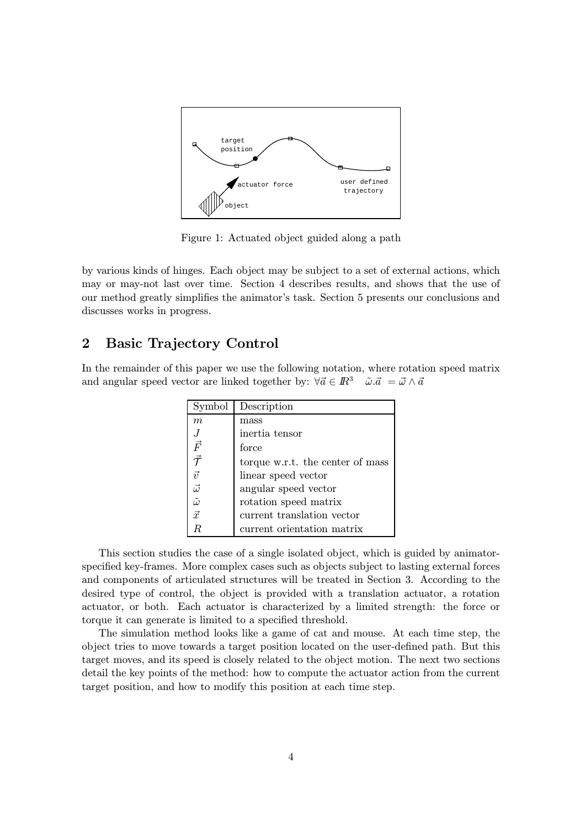

Figure 1: Actuated object guided along a path

by various kinds of hinges. Each object may be subject to a set of external actions, which may or may-not last over time. Section 4 describes results, and shows that the use of our method greatly simplifies the animator's task. Section 5 presents our conclusions and discusses works in progress.

# 2 Basic Trajectory Control

In the remainder of this paper we use the following notation, where rotation speed matrix and angular speed vector are linked together by:  $\forall \vec{a} \in \mathbb{R}^3 \quad \tilde{\omega}.\vec{a} = \vec{\omega} \wedge \vec{a}$ 

| Symbol           | Description                      |
|------------------|----------------------------------|
| m                | mass                             |
| $\cdot$ T        | inertia tensor                   |
| $\vec{F}$        | force                            |
|                  | torque w.r.t. the center of mass |
| $\vec{v}$        | linear speed vector              |
| $\vec{\omega}$   | angular speed vector             |
| $\tilde{\omega}$ | rotation speed matrix            |
| $\vec{x}$        | current translation vector       |
|                  | current orientation matrix       |

This section studies the case of a single isolated object, which is guided by animatorspecified key-frames. More complex cases such as objects subject to lasting external forces and components of articulated structures will be treated in Section 3. According to the desired type of control, the object is provided with a translation actuator, a rotation actuator, or both. Each actuator is characterized by a limited strength: the force or torque it can generate is limited to a specified threshold.

The simulation method looks like a game of cat and mouse. At each time step, the object tries to move towards a target position located on the user-defined path. But this target moves, and its speed is closely related to the object motion. The next two sections detail the key points of the method: how to compute the actuator action from the current target position, and how to modify this position at each time step.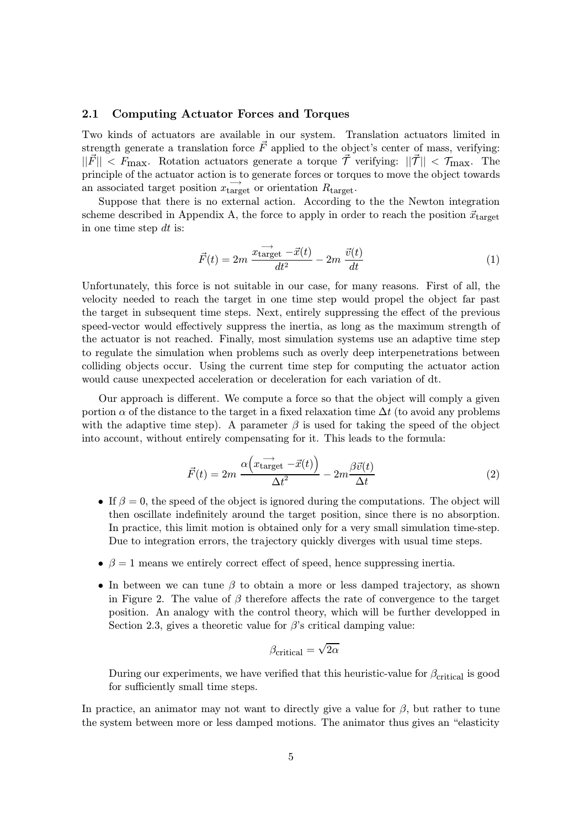#### 2.1 Computing Actuator Forces and Torques

Two kinds of actuators are available in our system. Translation actuators limited in strength generate a translation force  $\vec{F}$  applied to the object's center of mass, verifying:  $||\vec{F}|| < F_{\text{max}}$ . Rotation actuators generate a torque  $\vec{\mathcal{T}}$  verifying:  $||\vec{\mathcal{T}}|| < \mathcal{T}_{\text{max}}$ . The principle of the actuator action is to generate forces or torques to move the object towards an associated target position  $x_{\text{target}} \rightarrow$  or orientation  $R_{\text{target}}$ .

Suppose that there is no external action. According to the the Newton integration scheme described in Appendix A, the force to apply in order to reach the position  $\vec{x}_{\text{target}}$ in one time step dt is:

$$
\vec{F}(t) = 2m \frac{x_{\text{target}} - \vec{x}(t)}{dt^2} - 2m \frac{\vec{v}(t)}{dt}
$$
 (1)

Unfortunately, this force is not suitable in our case, for many reasons. First of all, the velocity needed to reach the target in one time step would propel the object far past the target in subsequent time steps. Next, entirely suppressing the effect of the previous speed-vector would effectively suppress the inertia, as long as the maximum strength of the actuator is not reached. Finally, most simulation systems use an adaptive time step to regulate the simulation when problems such as overly deep interpenetrations between colliding objects occur. Using the current time step for computing the actuator action would cause unexpected acceleration or deceleration for each variation of dt.

Our approach is different. We compute a force so that the object will comply a given portion  $\alpha$  of the distance to the target in a fixed relaxation time  $\Delta t$  (to avoid any problems with the adaptive time step). A parameter  $\beta$  is used for taking the speed of the object into account, without entirely compensating for it. This leads to the formula:

$$
\vec{F}(t) = 2m \frac{\alpha \left(x_{\text{target}} - \vec{x}(t)\right)}{\Delta t^2} - 2m \frac{\beta \vec{v}(t)}{\Delta t} \tag{2}
$$

- If  $\beta = 0$ , the speed of the object is ignored during the computations. The object will then oscillate indefinitely around the target position, since there is no absorption. In practice, this limit motion is obtained only for a very small simulation time-step. Due to integration errors, the trajectory quickly diverges with usual time steps.
- $\beta = 1$  means we entirely correct effect of speed, hence suppressing inertia.
- In between we can tune  $\beta$  to obtain a more or less damped trajectory, as shown in Figure 2. The value of  $\beta$  therefore affects the rate of convergence to the target position. An analogy with the control theory, which will be further developped in Section 2.3, gives a theoretic value for  $\beta$ 's critical damping value:

$$
\beta_{\rm critical}=\sqrt{2\alpha}
$$

During our experiments, we have verified that this heuristic-value for  $\beta_{\text{critical}}$  is good for sufficiently small time steps.

In practice, an animator may not want to directly give a value for  $\beta$ , but rather to tune the system between more or less damped motions. The animator thus gives an "elasticity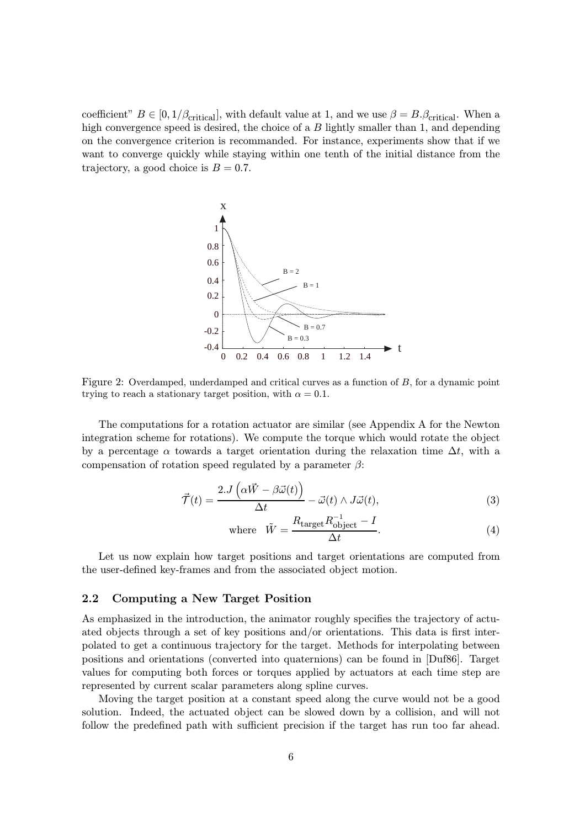coefficient"  $B \in [0, 1/\beta_{critical}]$ , with default value at 1, and we use  $\beta = B.\beta_{critical}$ . When a high convergence speed is desired, the choice of a  $B$  lightly smaller than 1, and depending on the convergence criterion is recommanded. For instance, experiments show that if we want to converge quickly while staying within one tenth of the initial distance from the trajectory, a good choice is  $B = 0.7$ .



Figure 2: Overdamped, underdamped and critical curves as a function of B, for a dynamic point trying to reach a stationary target position, with  $\alpha = 0.1$ .

The computations for a rotation actuator are similar (see Appendix A for the Newton integration scheme for rotations). We compute the torque which would rotate the object by a percentage  $\alpha$  towards a target orientation during the relaxation time  $\Delta t$ , with a compensation of rotation speed regulated by a parameter  $\beta$ :

$$
\vec{\mathcal{T}}(t) = \frac{2.J\left(\alpha \vec{W} - \beta \vec{\omega}(t)\right)}{\Delta t} - \vec{\omega}(t) \wedge J\vec{\omega}(t),\tag{3}
$$

where 
$$
\tilde{W} = \frac{R_{\text{target}} R_{\text{object}}^{-1} - I}{\Delta t}
$$
. (4)

Let us now explain how target positions and target orientations are computed from the user-defined key-frames and from the associated object motion.

#### 2.2 Computing a New Target Position

As emphasized in the introduction, the animator roughly specifies the trajectory of actuated objects through a set of key positions and/or orientations. This data is first interpolated to get a continuous trajectory for the target. Methods for interpolating between positions and orientations (converted into quaternions) can be found in [Duf86]. Target values for computing both forces or torques applied by actuators at each time step are represented by current scalar parameters along spline curves.

Moving the target position at a constant speed along the curve would not be a good solution. Indeed, the actuated object can be slowed down by a collision, and will not follow the predefined path with sufficient precision if the target has run too far ahead.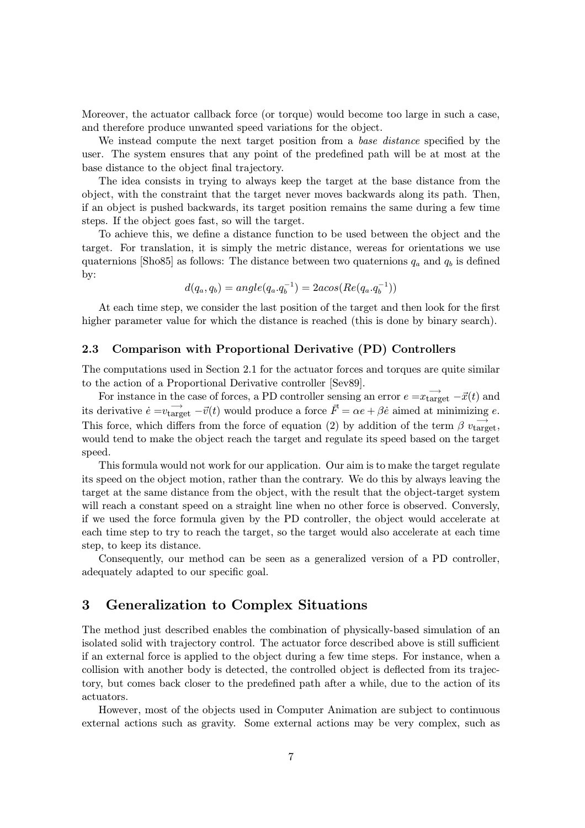Moreover, the actuator callback force (or torque) would become too large in such a case, and therefore produce unwanted speed variations for the object.

We instead compute the next target position from a base distance specified by the user. The system ensures that any point of the predefined path will be at most at the base distance to the object final trajectory.

The idea consists in trying to always keep the target at the base distance from the object, with the constraint that the target never moves backwards along its path. Then, if an object is pushed backwards, its target position remains the same during a few time steps. If the object goes fast, so will the target.

To achieve this, we define a distance function to be used between the object and the target. For translation, it is simply the metric distance, wereas for orientations we use quaternions [Sho85] as follows: The distance between two quaternions  $q_a$  and  $q_b$  is defined by:

$$
d(q_a, q_b) = angle(q_a.q_b^{-1}) = 2acos(Re(q_a.q_b^{-1}))
$$

At each time step, we consider the last position of the target and then look for the first higher parameter value for which the distance is reached (this is done by binary search).

#### 2.3 Comparison with Proportional Derivative (PD) Controllers

The computations used in Section 2.1 for the actuator forces and torques are quite similar to the action of a Proportional Derivative controller [Sev89].

For instance in the case of forces, a PD controller sensing an error  $e = x_{\text{target}} \rightarrow \vec{x}(t)$  and its derivative  $\dot{e} = v_{\text{target}} \vec{v}(t)$  would produce a force  $\vec{F} = \alpha e + \beta \dot{e}$  aimed at minimizing  $e$ . This force, which differs from the force of equation (2) by addition of the term  $\beta v_{\text{target}}^{\rightarrow}$ , would tend to make the object reach the target and regulate its speed based on the target speed.

This formula would not work for our application. Our aim is to make the target regulate its speed on the object motion, rather than the contrary. We do this by always leaving the target at the same distance from the object, with the result that the object-target system will reach a constant speed on a straight line when no other force is observed. Conversly, if we used the force formula given by the PD controller, the object would accelerate at each time step to try to reach the target, so the target would also accelerate at each time step, to keep its distance.

Consequently, our method can be seen as a generalized version of a PD controller, adequately adapted to our specific goal.

# 3 Generalization to Complex Situations

The method just described enables the combination of physically-based simulation of an isolated solid with trajectory control. The actuator force described above is still sufficient if an external force is applied to the object during a few time steps. For instance, when a collision with another body is detected, the controlled object is deflected from its trajectory, but comes back closer to the predefined path after a while, due to the action of its actuators.

However, most of the objects used in Computer Animation are subject to continuous external actions such as gravity. Some external actions may be very complex, such as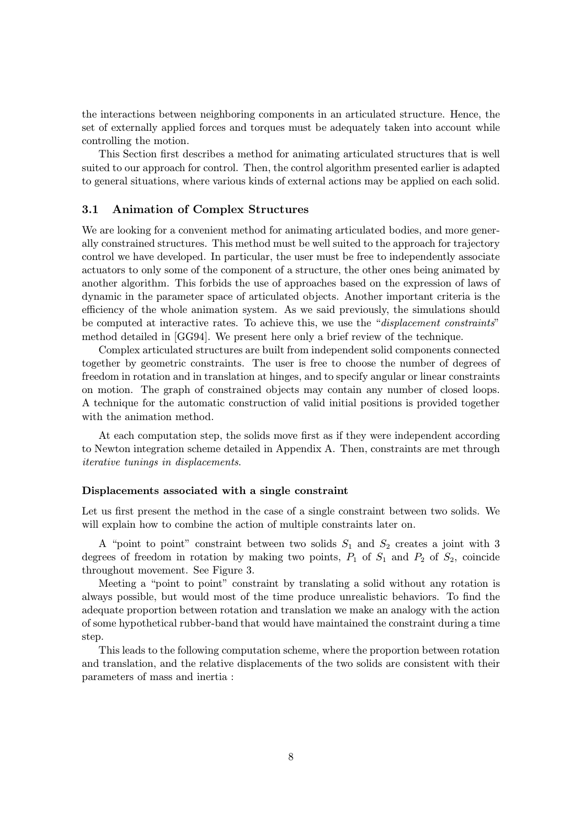the interactions between neighboring components in an articulated structure. Hence, the set of externally applied forces and torques must be adequately taken into account while controlling the motion.

This Section first describes a method for animating articulated structures that is well suited to our approach for control. Then, the control algorithm presented earlier is adapted to general situations, where various kinds of external actions may be applied on each solid.

#### 3.1 Animation of Complex Structures

We are looking for a convenient method for animating articulated bodies, and more generally constrained structures. This method must be well suited to the approach for trajectory control we have developed. In particular, the user must be free to independently associate actuators to only some of the component of a structure, the other ones being animated by another algorithm. This forbids the use of approaches based on the expression of laws of dynamic in the parameter space of articulated objects. Another important criteria is the efficiency of the whole animation system. As we said previously, the simulations should be computed at interactive rates. To achieve this, we use the "displacement constraints" method detailed in [GG94]. We present here only a brief review of the technique.

Complex articulated structures are built from independent solid components connected together by geometric constraints. The user is free to choose the number of degrees of freedom in rotation and in translation at hinges, and to specify angular or linear constraints on motion. The graph of constrained objects may contain any number of closed loops. A technique for the automatic construction of valid initial positions is provided together with the animation method.

At each computation step, the solids move first as if they were independent according to Newton integration scheme detailed in Appendix A. Then, constraints are met through iterative tunings in displacements.

#### Displacements associated with a single constraint

Let us first present the method in the case of a single constraint between two solids. We will explain how to combine the action of multiple constraints later on.

A "point to point" constraint between two solids  $S_1$  and  $S_2$  creates a joint with 3 degrees of freedom in rotation by making two points,  $P_1$  of  $S_1$  and  $P_2$  of  $S_2$ , coincide throughout movement. See Figure 3.

Meeting a "point to point" constraint by translating a solid without any rotation is always possible, but would most of the time produce unrealistic behaviors. To find the adequate proportion between rotation and translation we make an analogy with the action of some hypothetical rubber-band that would have maintained the constraint during a time step.

This leads to the following computation scheme, where the proportion between rotation and translation, and the relative displacements of the two solids are consistent with their parameters of mass and inertia :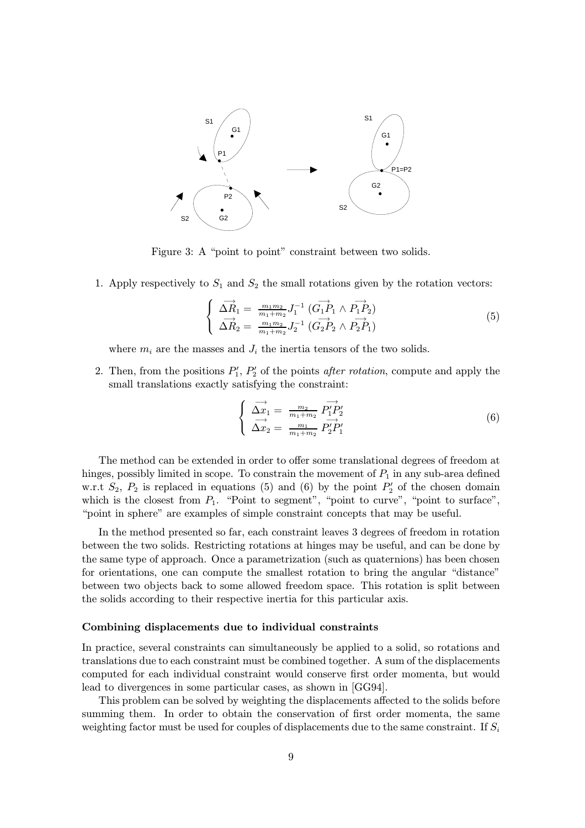

Figure 3: A "point to point" constraint between two solids.

1. Apply respectively to  $S_1$  and  $S_2$  the small rotations given by the rotation vectors:

$$
\begin{cases}\n\overrightarrow{\Delta R}_{1} = \frac{m_{1}m_{2}}{m_{1} + m_{2}} J_{1}^{-1} \left( \overrightarrow{G_{1}P}_{1} \wedge \overrightarrow{P_{1}P}_{2} \right) \\
\overrightarrow{\Delta R}_{2} = \frac{m_{1}m_{2}}{m_{1} + m_{2}} J_{2}^{-1} \left( \overrightarrow{G_{2}P}_{2} \wedge \overrightarrow{P_{2}P}_{1} \right)\n\end{cases} (5)
$$

where  $m_i$  are the masses and  $J_i$  the inertia tensors of the two solids.

2. Then, from the positions  $P_1'$  $P'_1$ ,  $P'_2$  of the points *after rotation*, compute and apply the small translations exactly satisfying the constraint:

$$
\begin{cases}\n\overrightarrow{\Delta x}_{1} = \frac{m_{2}}{m_{1} + m_{2}} P_{1}^{\prime} P_{2}^{\prime} \\
\overrightarrow{\Delta x}_{2} = \frac{m_{1}}{m_{1} + m_{2}} P_{2}^{\prime} P_{1}^{\prime}\n\end{cases} \tag{6}
$$

The method can be extended in order to offer some translational degrees of freedom at hinges, possibly limited in scope. To constrain the movement of  $P_1$  in any sub-area defined w.r.t  $S_2$ ,  $P_2$  is replaced in equations (5) and (6) by the point  $P'_2$  $2'$  of the chosen domain which is the closest from  $P_1$ . "Point to segment", "point to curve", "point to surface", "point in sphere" are examples of simple constraint concepts that may be useful.

In the method presented so far, each constraint leaves 3 degrees of freedom in rotation between the two solids. Restricting rotations at hinges may be useful, and can be done by the same type of approach. Once a parametrization (such as quaternions) has been chosen for orientations, one can compute the smallest rotation to bring the angular "distance" between two objects back to some allowed freedom space. This rotation is split between the solids according to their respective inertia for this particular axis.

#### Combining displacements due to individual constraints

In practice, several constraints can simultaneously be applied to a solid, so rotations and translations due to each constraint must be combined together. A sum of the displacements computed for each individual constraint would conserve first order momenta, but would lead to divergences in some particular cases, as shown in [GG94].

This problem can be solved by weighting the displacements affected to the solids before summing them. In order to obtain the conservation of first order momenta, the same weighting factor must be used for couples of displacements due to the same constraint. If  $S_i$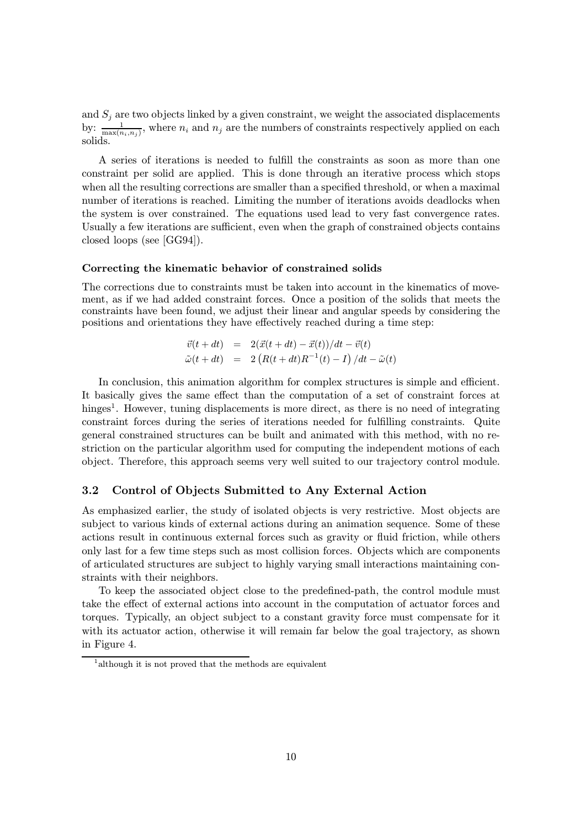and  $S_i$  are two objects linked by a given constraint, we weight the associated displacements by:  $\frac{1}{\max(n_i, n_j)}$ , where  $n_i$  and  $n_j$  are the numbers of constraints respectively applied on each solids.

A series of iterations is needed to fulfill the constraints as soon as more than one constraint per solid are applied. This is done through an iterative process which stops when all the resulting corrections are smaller than a specified threshold, or when a maximal number of iterations is reached. Limiting the number of iterations avoids deadlocks when the system is over constrained. The equations used lead to very fast convergence rates. Usually a few iterations are sufficient, even when the graph of constrained objects contains closed loops (see [GG94]).

#### Correcting the kinematic behavior of constrained solids

The corrections due to constraints must be taken into account in the kinematics of movement, as if we had added constraint forces. Once a position of the solids that meets the constraints have been found, we adjust their linear and angular speeds by considering the positions and orientations they have effectively reached during a time step:

$$
\vec{v}(t+dt) = 2(\vec{x}(t+dt) - \vec{x}(t))/dt - \vec{v}(t)
$$
\n
$$
\tilde{\omega}(t+dt) = 2(R(t+dt)R^{-1}(t) - I)/dt - \tilde{\omega}(t)
$$

In conclusion, this animation algorithm for complex structures is simple and efficient. It basically gives the same effect than the computation of a set of constraint forces at hinges<sup>1</sup>. However, tuning displacements is more direct, as there is no need of integrating constraint forces during the series of iterations needed for fulfilling constraints. Quite general constrained structures can be built and animated with this method, with no restriction on the particular algorithm used for computing the independent motions of each object. Therefore, this approach seems very well suited to our trajectory control module.

#### 3.2 Control of Objects Submitted to Any External Action

As emphasized earlier, the study of isolated objects is very restrictive. Most objects are subject to various kinds of external actions during an animation sequence. Some of these actions result in continuous external forces such as gravity or fluid friction, while others only last for a few time steps such as most collision forces. Objects which are components of articulated structures are subject to highly varying small interactions maintaining constraints with their neighbors.

To keep the associated object close to the predefined-path, the control module must take the effect of external actions into account in the computation of actuator forces and torques. Typically, an object subject to a constant gravity force must compensate for it with its actuator action, otherwise it will remain far below the goal trajectory, as shown in Figure 4.

<sup>&</sup>lt;sup>1</sup> although it is not proved that the methods are equivalent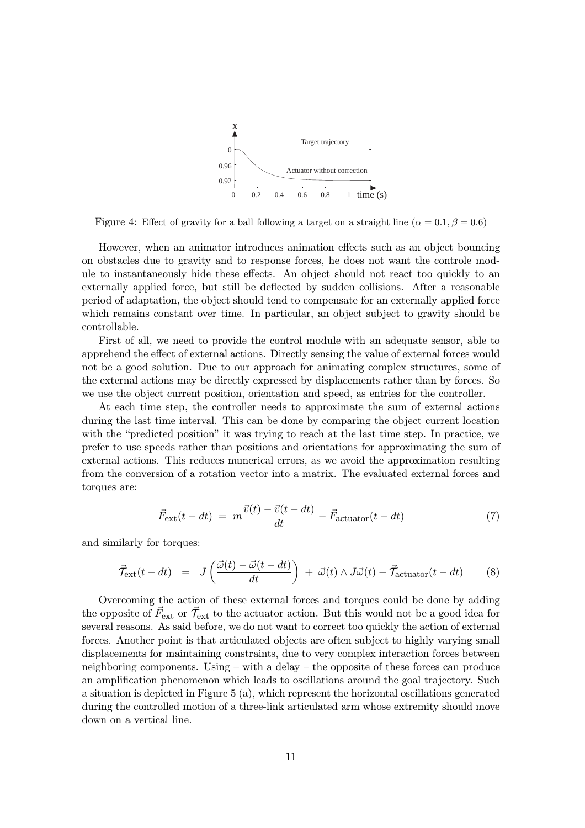

Figure 4: Effect of gravity for a ball following a target on a straight line ( $\alpha = 0.1, \beta = 0.6$ )

However, when an animator introduces animation effects such as an object bouncing on obstacles due to gravity and to response forces, he does not want the controle module to instantaneously hide these effects. An object should not react too quickly to an externally applied force, but still be deflected by sudden collisions. After a reasonable period of adaptation, the object should tend to compensate for an externally applied force which remains constant over time. In particular, an object subject to gravity should be controllable.

First of all, we need to provide the control module with an adequate sensor, able to apprehend the effect of external actions. Directly sensing the value of external forces would not be a good solution. Due to our approach for animating complex structures, some of the external actions may be directly expressed by displacements rather than by forces. So we use the object current position, orientation and speed, as entries for the controller.

At each time step, the controller needs to approximate the sum of external actions during the last time interval. This can be done by comparing the object current location with the "predicted position" it was trying to reach at the last time step. In practice, we prefer to use speeds rather than positions and orientations for approximating the sum of external actions. This reduces numerical errors, as we avoid the approximation resulting from the conversion of a rotation vector into a matrix. The evaluated external forces and torques are:

$$
\vec{F}_{\text{ext}}(t - dt) = m \frac{\vec{v}(t) - \vec{v}(t - dt)}{dt} - \vec{F}_{\text{actualor}}(t - dt)
$$
\n(7)

and similarly for torques:

$$
\vec{\mathcal{T}}_{\text{ext}}(t - dt) = J\left(\frac{\vec{\omega}(t) - \vec{\omega}(t - dt)}{dt}\right) + \vec{\omega}(t) \wedge J\vec{\omega}(t) - \vec{\mathcal{T}}_{\text{actuator}}(t - dt) \qquad (8)
$$

Overcoming the action of these external forces and torques could be done by adding the opposite of  $\vec{F}_{ext}$  or  $\vec{\mathcal{T}}_{ext}$  to the actuator action. But this would not be a good idea for several reasons. As said before, we do not want to correct too quickly the action of external forces. Another point is that articulated objects are often subject to highly varying small displacements for maintaining constraints, due to very complex interaction forces between neighboring components. Using – with a delay – the opposite of these forces can produce an amplification phenomenon which leads to oscillations around the goal trajectory. Such a situation is depicted in Figure 5 (a), which represent the horizontal oscillations generated during the controlled motion of a three-link articulated arm whose extremity should move down on a vertical line.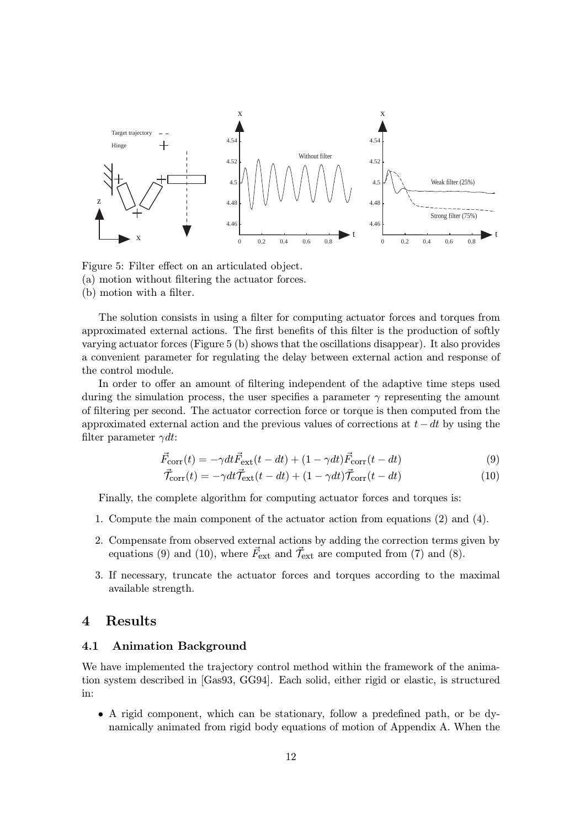

Figure 5: Filter effect on an articulated object.

(a) motion without filtering the actuator forces.

(b) motion with a filter.

The solution consists in using a filter for computing actuator forces and torques from approximated external actions. The first benefits of this filter is the production of softly varying actuator forces (Figure 5 (b) shows that the oscillations disappear). It also provides a convenient parameter for regulating the delay between external action and response of the control module.

In order to offer an amount of filtering independent of the adaptive time steps used during the simulation process, the user specifies a parameter  $\gamma$  representing the amount of filtering per second. The actuator correction force or torque is then computed from the approximated external action and the previous values of corrections at  $t - dt$  by using the filter parameter  $\gamma dt$ :

$$
\vec{F}_{\text{corr}}(t) = -\gamma dt \vec{F}_{\text{ext}}(t - dt) + (1 - \gamma dt) \vec{F}_{\text{corr}}(t - dt)
$$
\n(9)

$$
\vec{\mathcal{T}}_{\text{corr}}(t) = -\gamma dt \vec{\mathcal{T}}_{\text{ext}}(t - dt) + (1 - \gamma dt) \vec{\mathcal{T}}_{\text{corr}}(t - dt)
$$
\n(10)

Finally, the complete algorithm for computing actuator forces and torques is:

- 1. Compute the main component of the actuator action from equations (2) and (4).
- 2. Compensate from observed external actions by adding the correction terms given by equations (9) and (10), where  $\vec{F}_{ext}$  and  $\vec{\mathcal{T}}_{ext}$  are computed from (7) and (8).
- 3. If necessary, truncate the actuator forces and torques according to the maximal available strength.

### 4 Results

#### 4.1 Animation Background

We have implemented the trajectory control method within the framework of the animation system described in [Gas93, GG94]. Each solid, either rigid or elastic, is structured in:

• A rigid component, which can be stationary, follow a predefined path, or be dynamically animated from rigid body equations of motion of Appendix A. When the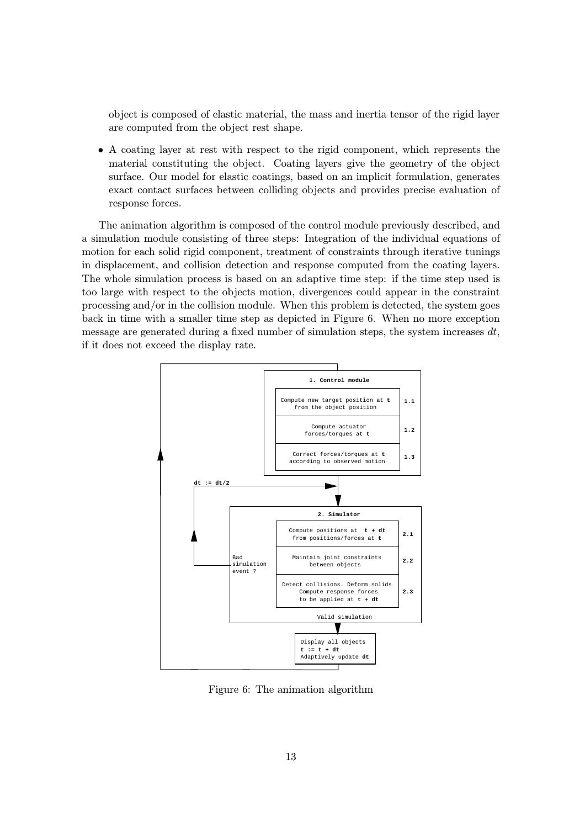object is composed of elastic material, the mass and inertia tensor of the rigid layer are computed from the object rest shape.

• A coating layer at rest with respect to the rigid component, which represents the material constituting the object. Coating layers give the geometry of the object surface. Our model for elastic coatings, based on an implicit formulation, generates exact contact surfaces between colliding objects and provides precise evaluation of response forces.

The animation algorithm is composed of the control module previously described, and a simulation module consisting of three steps: Integration of the individual equations of motion for each solid rigid component, treatment of constraints through iterative tunings in displacement, and collision detection and response computed from the coating layers. The whole simulation process is based on an adaptive time step: if the time step used is too large with respect to the objects motion, divergences could appear in the constraint processing and/or in the collision module. When this problem is detected, the system goes back in time with a smaller time step as depicted in Figure 6. When no more exception message are generated during a fixed number of simulation steps, the system increases  $dt$ , if it does not exceed the display rate.



Figure 6: The animation algorithm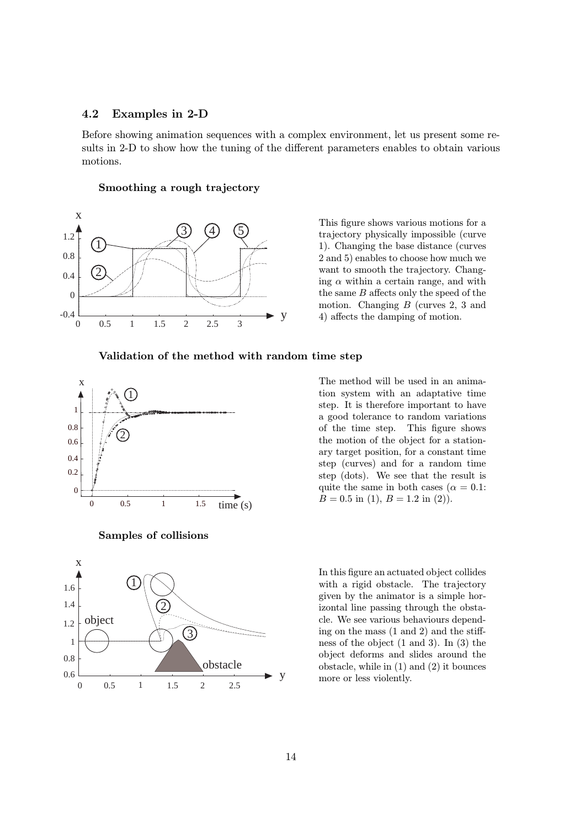#### 4.2 Examples in 2-D

Before showing animation sequences with a complex environment, let us present some results in 2-D to show how the tuning of the different parameters enables to obtain various motions.

#### Smoothing a rough trajectory



This figure shows various motions for a trajectory physically impossible (curve 1). Changing the base distance (curves 2 and 5) enables to choose how much we want to smooth the trajectory. Changing  $\alpha$  within a certain range, and with the same  $B$  affects only the speed of the motion. Changing  $B$  (curves 2, 3 and 4) affects the damping of motion.

#### Validation of the method with random time step



Samples of collisions



The method will be used in an animation system with an adaptative time step. It is therefore important to have a good tolerance to random variations of the time step. This figure shows the motion of the object for a stationary target position, for a constant time step (curves) and for a random time step (dots). We see that the result is quite the same in both cases ( $\alpha = 0.1$ :  $B = 0.5$  in (1),  $B = 1.2$  in (2)).

In this figure an actuated object collides with a rigid obstacle. The trajectory given by the animator is a simple horizontal line passing through the obstacle. We see various behaviours depending on the mass (1 and 2) and the stiffness of the object (1 and 3). In (3) the object deforms and slides around the obstacle, while in (1) and (2) it bounces more or less violently.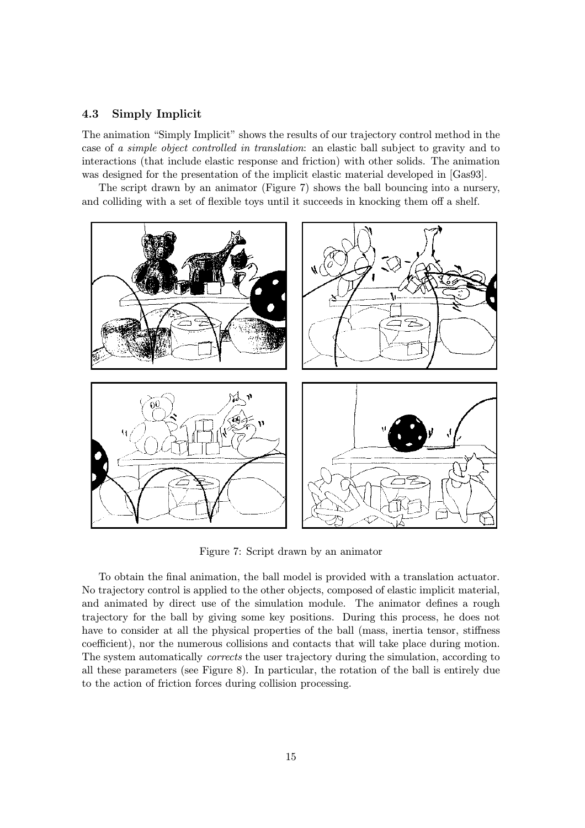#### 4.3 Simply Implicit

The animation "Simply Implicit" shows the results of our trajectory control method in the case of a simple object controlled in translation: an elastic ball subject to gravity and to interactions (that include elastic response and friction) with other solids. The animation was designed for the presentation of the implicit elastic material developed in [Gas93].

The script drawn by an animator (Figure 7) shows the ball bouncing into a nursery, and colliding with a set of flexible toys until it succeeds in knocking them off a shelf.



Figure 7: Script drawn by an animator

To obtain the final animation, the ball model is provided with a translation actuator. No trajectory control is applied to the other objects, composed of elastic implicit material, and animated by direct use of the simulation module. The animator defines a rough trajectory for the ball by giving some key positions. During this process, he does not have to consider at all the physical properties of the ball (mass, inertia tensor, stiffness coefficient), nor the numerous collisions and contacts that will take place during motion. The system automatically *corrects* the user trajectory during the simulation, according to all these parameters (see Figure 8). In particular, the rotation of the ball is entirely due to the action of friction forces during collision processing.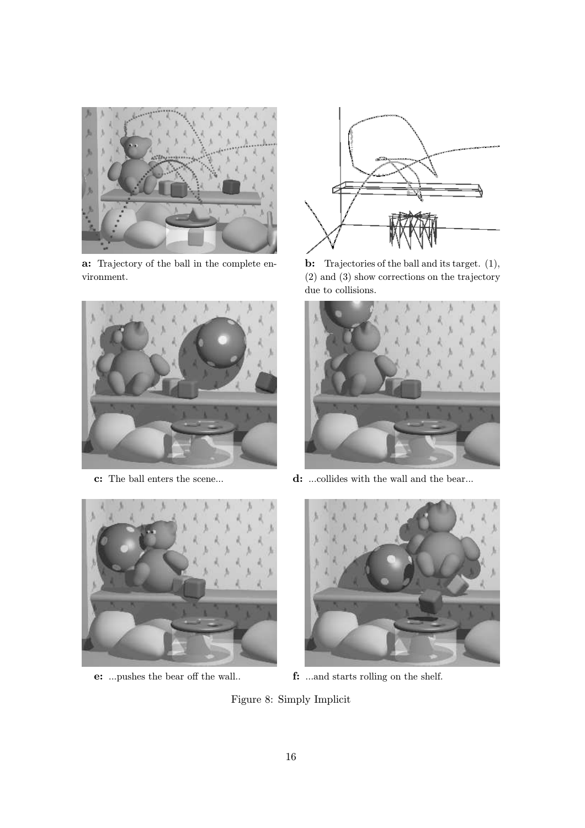

a: Trajectory of the ball in the complete environment.





b: Trajectories of the ball and its target. (1), (2) and (3) show corrections on the trajectory due to collisions.



c: The ball enters the scene... **d:** ...collides with the wall and the bear...





e: ...pushes the bear off the wall..  $\qquad \qquad$  f: ...and starts rolling on the shelf.

Figure 8: Simply Implicit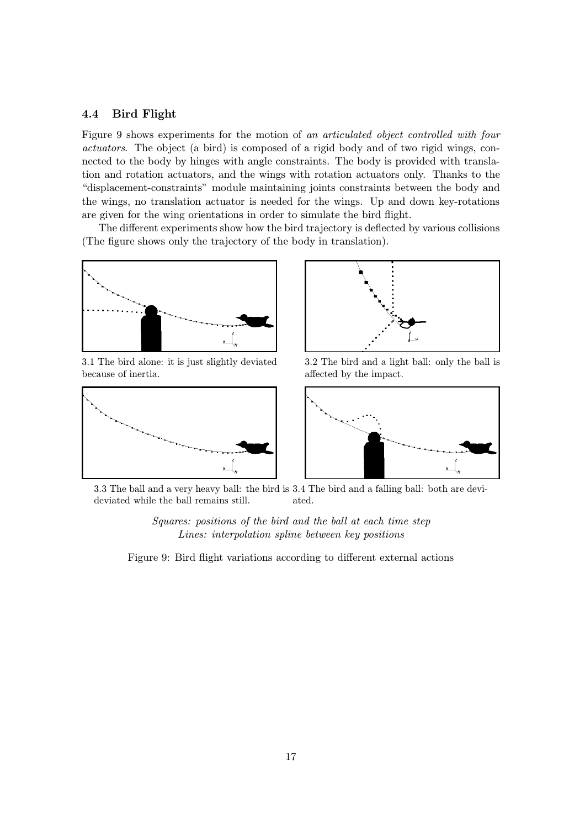#### 4.4 Bird Flight

Figure 9 shows experiments for the motion of an articulated object controlled with four actuators. The object (a bird) is composed of a rigid body and of two rigid wings, connected to the body by hinges with angle constraints. The body is provided with translation and rotation actuators, and the wings with rotation actuators only. Thanks to the "displacement-constraints" module maintaining joints constraints between the body and the wings, no translation actuator is needed for the wings. Up and down key-rotations are given for the wing orientations in order to simulate the bird flight.

The different experiments show how the bird trajectory is deflected by various collisions (The figure shows only the trajectory of the body in translation).



3.1 The bird alone: it is just slightly deviated because of inertia.





3.2 The bird and a light ball: only the ball is affected by the impact.



3.3 The ball and a very heavy ball: the bird is 3.4 The bird and a falling ball: both are devideviated while the ball remains still. ated.

Squares: positions of the bird and the ball at each time step Lines: interpolation spline between key positions

Figure 9: Bird flight variations according to different external actions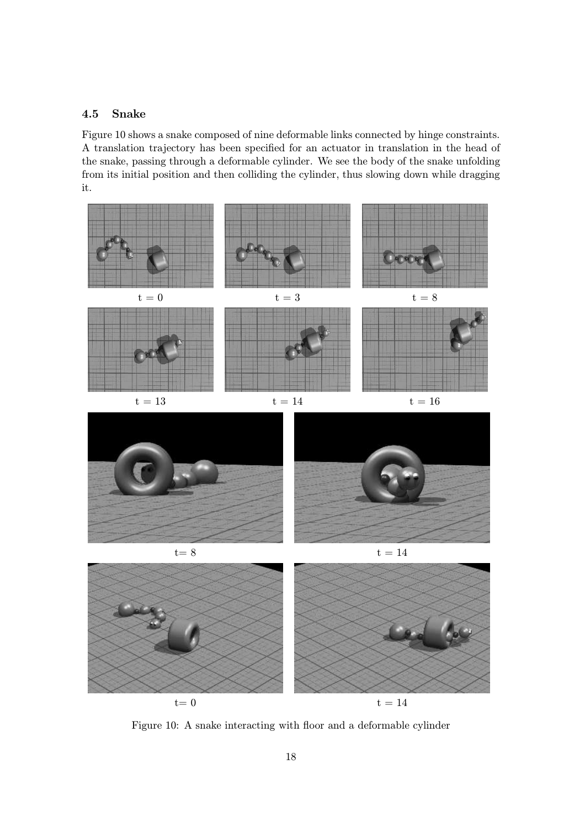### 4.5 Snake

Figure 10 shows a snake composed of nine deformable links connected by hinge constraints. A translation trajectory has been specified for an actuator in translation in the head of the snake, passing through a deformable cylinder. We see the body of the snake unfolding from its initial position and then colliding the cylinder, thus slowing down while dragging it.



Figure 10: A snake interacting with floor and a deformable cylinder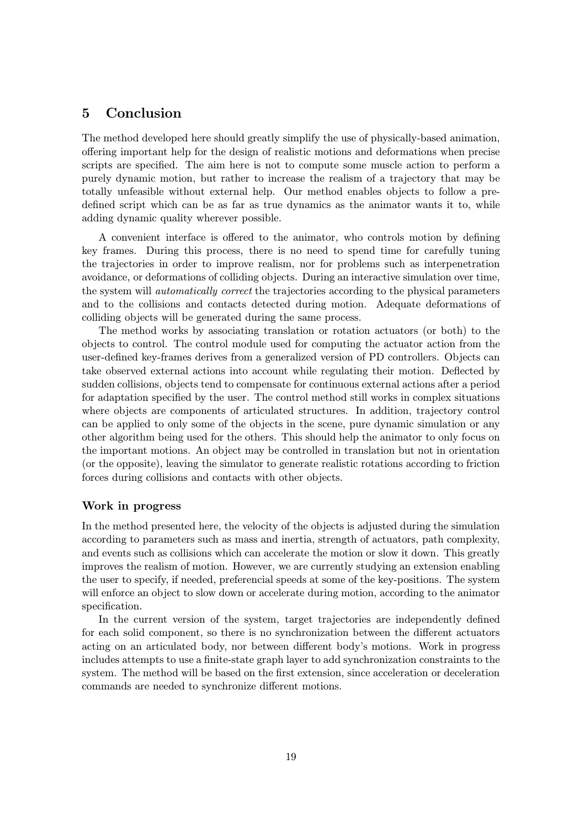# 5 Conclusion

The method developed here should greatly simplify the use of physically-based animation, offering important help for the design of realistic motions and deformations when precise scripts are specified. The aim here is not to compute some muscle action to perform a purely dynamic motion, but rather to increase the realism of a trajectory that may be totally unfeasible without external help. Our method enables objects to follow a predefined script which can be as far as true dynamics as the animator wants it to, while adding dynamic quality wherever possible.

A convenient interface is offered to the animator, who controls motion by defining key frames. During this process, there is no need to spend time for carefully tuning the trajectories in order to improve realism, nor for problems such as interpenetration avoidance, or deformations of colliding objects. During an interactive simulation over time, the system will automatically correct the trajectories according to the physical parameters and to the collisions and contacts detected during motion. Adequate deformations of colliding objects will be generated during the same process.

The method works by associating translation or rotation actuators (or both) to the objects to control. The control module used for computing the actuator action from the user-defined key-frames derives from a generalized version of PD controllers. Objects can take observed external actions into account while regulating their motion. Deflected by sudden collisions, objects tend to compensate for continuous external actions after a period for adaptation specified by the user. The control method still works in complex situations where objects are components of articulated structures. In addition, trajectory control can be applied to only some of the objects in the scene, pure dynamic simulation or any other algorithm being used for the others. This should help the animator to only focus on the important motions. An object may be controlled in translation but not in orientation (or the opposite), leaving the simulator to generate realistic rotations according to friction forces during collisions and contacts with other objects.

#### Work in progress

In the method presented here, the velocity of the objects is adjusted during the simulation according to parameters such as mass and inertia, strength of actuators, path complexity, and events such as collisions which can accelerate the motion or slow it down. This greatly improves the realism of motion. However, we are currently studying an extension enabling the user to specify, if needed, preferencial speeds at some of the key-positions. The system will enforce an object to slow down or accelerate during motion, according to the animator specification.

In the current version of the system, target trajectories are independently defined for each solid component, so there is no synchronization between the different actuators acting on an articulated body, nor between different body's motions. Work in progress includes attempts to use a finite-state graph layer to add synchronization constraints to the system. The method will be based on the first extension, since acceleration or deceleration commands are needed to synchronize different motions.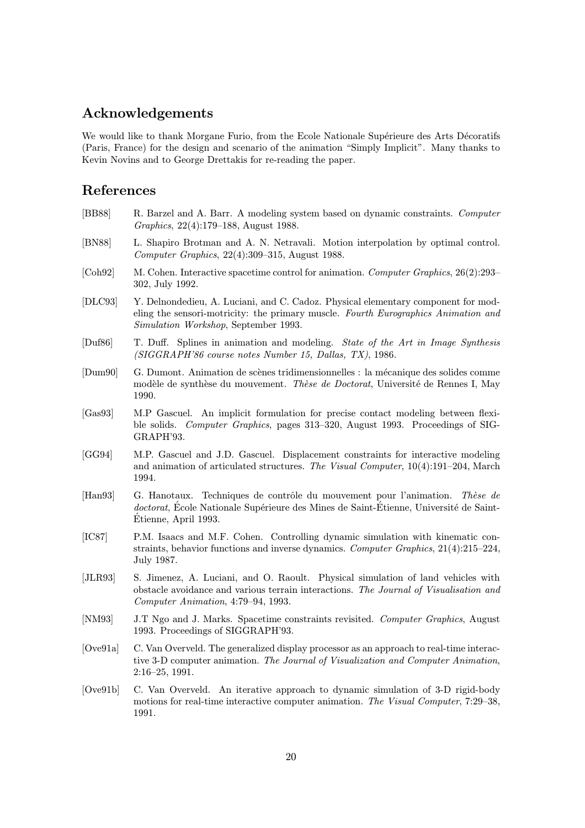## Acknowledgements

We would like to thank Morgane Furio, from the Ecole Nationale Supérieure des Arts Décoratifs (Paris, France) for the design and scenario of the animation "Simply Implicit". Many thanks to Kevin Novins and to George Drettakis for re-reading the paper.

# References

- [BB88] R. Barzel and A. Barr. A modeling system based on dynamic constraints. Computer Graphics, 22(4):179–188, August 1988.
- [BN88] L. Shapiro Brotman and A. N. Netravali. Motion interpolation by optimal control. Computer Graphics, 22(4):309–315, August 1988.
- [Coh92] M. Cohen. Interactive spacetime control for animation. Computer Graphics, 26(2):293– 302, July 1992.
- [DLC93] Y. Delnondedieu, A. Luciani, and C. Cadoz. Physical elementary component for modeling the sensori-motricity: the primary muscle. Fourth Eurographics Animation and Simulation Workshop, September 1993.
- [Duf86] T. Duff. Splines in animation and modeling. State of the Art in Image Synthesis (SIGGRAPH'86 course notes Number 15, Dallas, TX), 1986.
- [Dum90] G. Dumont. Animation de scènes tridimensionnelles : la mécanique des solides comme modèle de synthèse du mouvement. Thèse de Doctorat, Université de Rennes I, May 1990.
- [Gas93] M.P Gascuel. An implicit formulation for precise contact modeling between flexible solids. Computer Graphics, pages 313–320, August 1993. Proceedings of SIG-GRAPH'93.
- [GG94] M.P. Gascuel and J.D. Gascuel. Displacement constraints for interactive modeling and animation of articulated structures. The Visual Computer, 10(4):191–204, March 1994.
- [Han93] G. Hanotaux. Techniques de contrôle du mouvement pour l'animation. Thèse de doctorat, École Nationale Supérieure des Mines de Saint-Étienne, Université de Saint-Etienne, April 1993. ´
- [IC87] P.M. Isaacs and M.F. Cohen. Controlling dynamic simulation with kinematic constraints, behavior functions and inverse dynamics. Computer Graphics, 21(4):215–224, July 1987.
- [JLR93] S. Jimenez, A. Luciani, and O. Raoult. Physical simulation of land vehicles with obstacle avoidance and various terrain interactions. The Journal of Visualisation and Computer Animation, 4:79–94, 1993.
- [NM93] J.T Ngo and J. Marks. Spacetime constraints revisited. Computer Graphics, August 1993. Proceedings of SIGGRAPH'93.
- [Ove91a] C. Van Overveld. The generalized display processor as an approach to real-time interactive 3-D computer animation. The Journal of Visualization and Computer Animation, 2:16–25, 1991.
- [Ove91b] C. Van Overveld. An iterative approach to dynamic simulation of 3-D rigid-body motions for real-time interactive computer animation. The Visual Computer, 7:29–38, 1991.